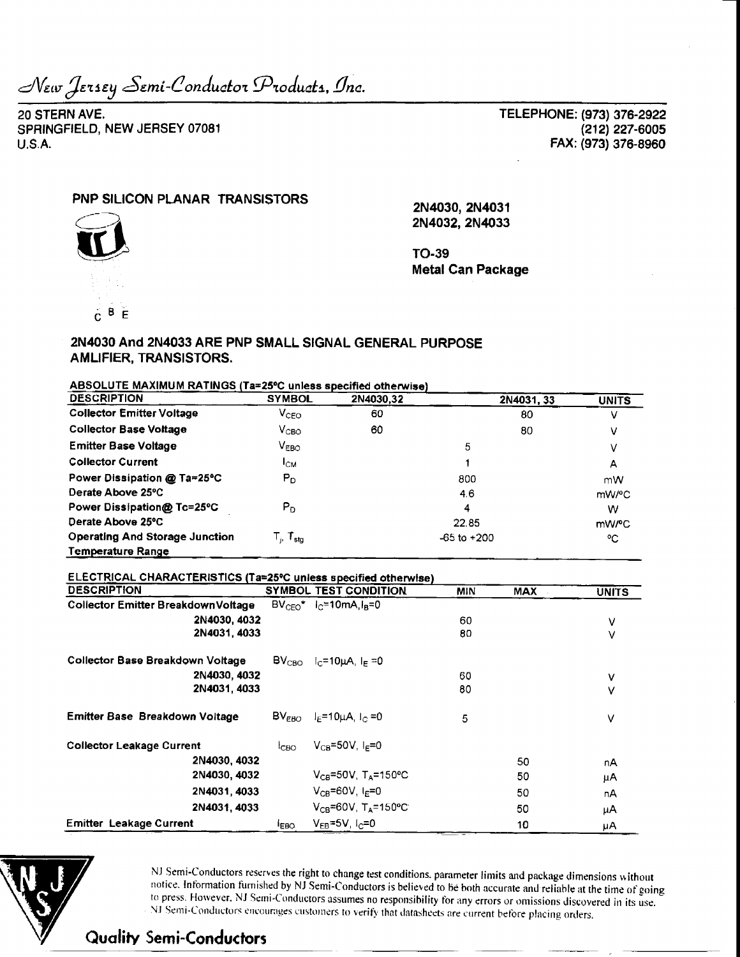New Jersey Semi-Conductor Products, Inc.

20 STERN AVE. SPRINGFIELD, NEW JERSEY 07081  $U.S.A.$ 

TELEPHONE: (973) 376-2922 (212) 227-6005 FAX: (973) 376-8960

### PNP SILICON PLANAR TRANSISTORS

2N4030, 2N4031 2N4032, 2N4033



**TO-39 Metal Can Package** 

### 2N4030 And 2N4033 ARE PNP SMALL SIGNAL GENERAL PURPOSE AMLIFIER, TRANSISTORS.

| ABSOLUTE MAXIMUM RATINGS (Ta=25°C unless specified otherwise) |  |
|---------------------------------------------------------------|--|
|                                                               |  |

| <b>DESCRIPTION</b>                    | <b>SYMBOL</b>                                             | 2N4030,32 | 2N4031, 33      | <b>UNITS</b> |
|---------------------------------------|-----------------------------------------------------------|-----------|-----------------|--------------|
| <b>Collector Emitter Voltage</b>      | $V_{\text{CEO}}$                                          | 60        | 80              |              |
| <b>Collector Base Voltage</b>         | V <sub>CBO</sub>                                          | 60        | 80              |              |
| <b>Emitter Base Voltage</b>           | $V_{EBO}$                                                 |           | 5               |              |
| <b>Collector Current</b>              | Iсм                                                       |           |                 | А            |
| Power Dissipation @ Ta=25°C           | $P_D$                                                     |           | 800             | mW           |
| Derate Above 25°C                     |                                                           |           | 4.6             | mW/°C        |
| Power Dissipation@ Tc=25°C            | P <sub>D</sub>                                            |           | 4               | w            |
| Derate Above 25°C                     |                                                           |           | 22.85           | mW/°C        |
| <b>Operating And Storage Junction</b> | $\mathsf{T}_{\shortparallel}$ $\mathsf{T}_{\textsf{stg}}$ |           | $-65$ to $+200$ | °C           |
| Temperature Range                     |                                                           |           |                 |              |

#### ELECTRICAL CHARACTERISTICS (Ta=25°C unless specified otherwise)

| <b>DESCRIPTION</b>                      |                  | <b>SYMBOL TEST CONDITION</b>                                                         | <b>MIN</b> | <b>MAX</b> | <b>UNITS</b> |
|-----------------------------------------|------------------|--------------------------------------------------------------------------------------|------------|------------|--------------|
| Collector Emitter BreakdownVoltage      |                  | $BV_{CFO}$ $I_{C} = 10mA_{H} = 0$                                                    |            |            |              |
| 2N4030, 4032                            |                  |                                                                                      | 60         |            | v            |
| 2N4031, 4033                            |                  |                                                                                      | 80         |            | ν            |
| <b>Collector Base Breakdown Voltage</b> |                  | $\textsf{BV}_{\textsf{CBO}}$ $\mid_{\textsf{C}}=10\mu\textsf{A},\mid_{\textsf{F}}=0$ |            |            |              |
| 2N4030, 4032                            |                  |                                                                                      | 60         |            | ٧            |
| 2N4031, 4033                            |                  |                                                                                      | 80         |            | v            |
| Emitter Base Breakdown Voltage          |                  | $BV_{FRO}$ $I_F = 10 \mu A$ , $I_C = 0$                                              | 5          |            | v            |
| <b>Collector Leakage Current</b>        | 1 <sub>CBO</sub> | $V_{CB} = 50V$ , $I_E = 0$                                                           |            |            |              |
| 2N4030, 4032                            |                  |                                                                                      |            | 50         | nA           |
| 2N4030, 4032                            |                  | $V_{CB} = 50V$ , T <sub>A</sub> =150°C                                               |            | 50         | μA           |
| 2N4031, 4033                            |                  | $V_{CB} = 60V$ , $I_E = 0$                                                           |            | 50         | пA           |
| 2N4031, 4033                            |                  | $V_{CB} = 60V$ , T <sub>A</sub> =150°C                                               |            | 50         | μA           |
| <b>Emitter Leakage Current</b>          | <b>IEBO</b>      | $V_{FB} = 5V, I_C = 0$                                                               |            | 10         | μA           |



NJ Semi-Conductors reserves the right to change test conditions, parameter limits and package dimensions without notice. Information furnished by NJ Semi-Conductors is believed to be both accurate and reliable at the time of going to press. However, NJ Semi-Conductors assumes no responsibility for any errors or omissions discovered in its use. NJ Semi-Conductors encourages customers to verify that datasheets are current before placing orders.

**Quality Semi-Conductors**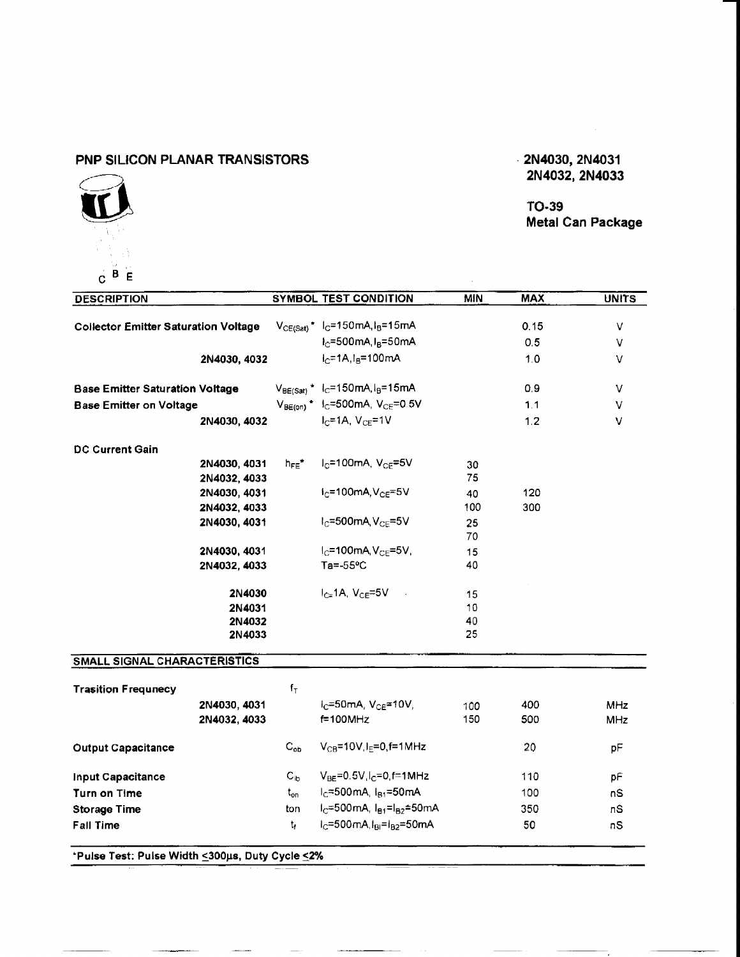# **PNP SILICON PLANAR TRANSISTORS**

# ĨĨ  $C$ <sup>B</sup> E

# **2N4032, 2N4033**

**TO-39** Metal Can **Package**

| <b>DESCRIPTION</b>                                              |                            | <b>SYMBOL TEST CONDITION</b>                      | MIN | <b>MAX</b> | <b>UNITS</b> |
|-----------------------------------------------------------------|----------------------------|---------------------------------------------------|-----|------------|--------------|
|                                                                 |                            |                                                   |     |            |              |
| <b>Collector Emitter Saturation Voltage</b>                     |                            | $V_{CE(Sat)}$ * $I_C$ =150mA, $I_B$ =15mA         |     | 0.15       | $\vee$       |
|                                                                 |                            | $I_{\rm C}$ =500mA, $I_{\rm B}$ =50mA             |     | 0.5        | v            |
| 2N4030, 4032                                                    |                            | $I_C = 1A$ , $I_B = 100$ mA                       |     | 1.0        | V            |
| <b>Base Emitter Saturation Voltage</b>                          |                            | $V_{BE(Sat)}$ * $I_C = 150$ mA, $I_B = 15$ mA     |     | 0.9        | V            |
| <b>Base Emitter on Voltage</b>                                  |                            | $V_{BE(0n)}$ * $I_C = 500$ mA, $V_{CE} = 0.5V$    |     | 1.1        | V            |
| 2N4030, 4032                                                    |                            | $I_C = 1A$ , $V_{CF} = 1V$                        |     | 1.2        | $\vee$       |
| <b>DC Current Gain</b>                                          |                            |                                                   |     |            |              |
| 2N4030, 4031                                                    | $h_{FE}$ *                 | $IC=100mA, VCF=5V$                                | 30  |            |              |
| 2N4032, 4033                                                    |                            |                                                   | 75  |            |              |
| 2N4030, 4031                                                    |                            | $I_C = 100$ mA, $V_{CE} = 5V$                     | 40  | 120        |              |
| 2N4032, 4033                                                    |                            |                                                   | 100 | 300        |              |
| 2N4030, 4031                                                    |                            | $I_C = 500$ mA, $V_{CE} = 5V$                     | 25  |            |              |
|                                                                 |                            |                                                   | 70  |            |              |
| 2N4030, 4031                                                    |                            | $1C=100mA, VCE=5V,$                               | 15  |            |              |
| 2N4032, 4033                                                    |                            | $Ta = -55°C$                                      | 40  |            |              |
| 2N4030                                                          |                            | $I_{Cz}$ 1A, V $_{CF}$ =5V                        | 15  |            |              |
| 2N4031                                                          |                            |                                                   | 10  |            |              |
| 2N4032                                                          |                            |                                                   | 40  |            |              |
| 2N4033                                                          |                            |                                                   | 25  |            |              |
| SMALL SIGNAL CHARACTERISTICS                                    |                            |                                                   |     |            |              |
| <b>Trasition Frequnecy</b>                                      | $f_T$                      |                                                   |     |            |              |
| 2N4030, 4031                                                    |                            | $I_C = 50$ mA, $V_{CE} = 10V$ ,                   | 100 | 400        | MHz          |
| 2N4032, 4033                                                    |                            | $f=100$ MHz                                       | 150 | 500        | MHz          |
| <b>Output Capacitance</b>                                       | $C_{ob}$                   | $V_{CB} = 10V, I_F = 0, f = 1MHz$                 |     | 20         | pF           |
| <b>Input Capacitance</b>                                        | $\mathsf{C}_{\mathsf{ib}}$ | $V_{BE} = 0.5V, I_C = 0, f = 1MHz$                |     | 110        | pF           |
| Turn on Time                                                    | $t_{\mathsf{on}}$          | $I_{C} = 500 \text{mA}$ , $I_{B1} = 50 \text{mA}$ |     | 100        | nS           |
| <b>Storage Time</b>                                             | ton                        | $I_C = 500$ mA, $I_{B1} = I_{B2} = 50$ mA         |     | 350        | nS           |
| <b>Fall Time</b>                                                | t,                         | $1C=500mA, 1B1=1B2=50mA$                          |     | 50         | nS           |
| *Pulse Test: Pulse Width <a>300µs, Duty Cycle &lt;<a>2%</a></a> |                            |                                                   |     |            |              |